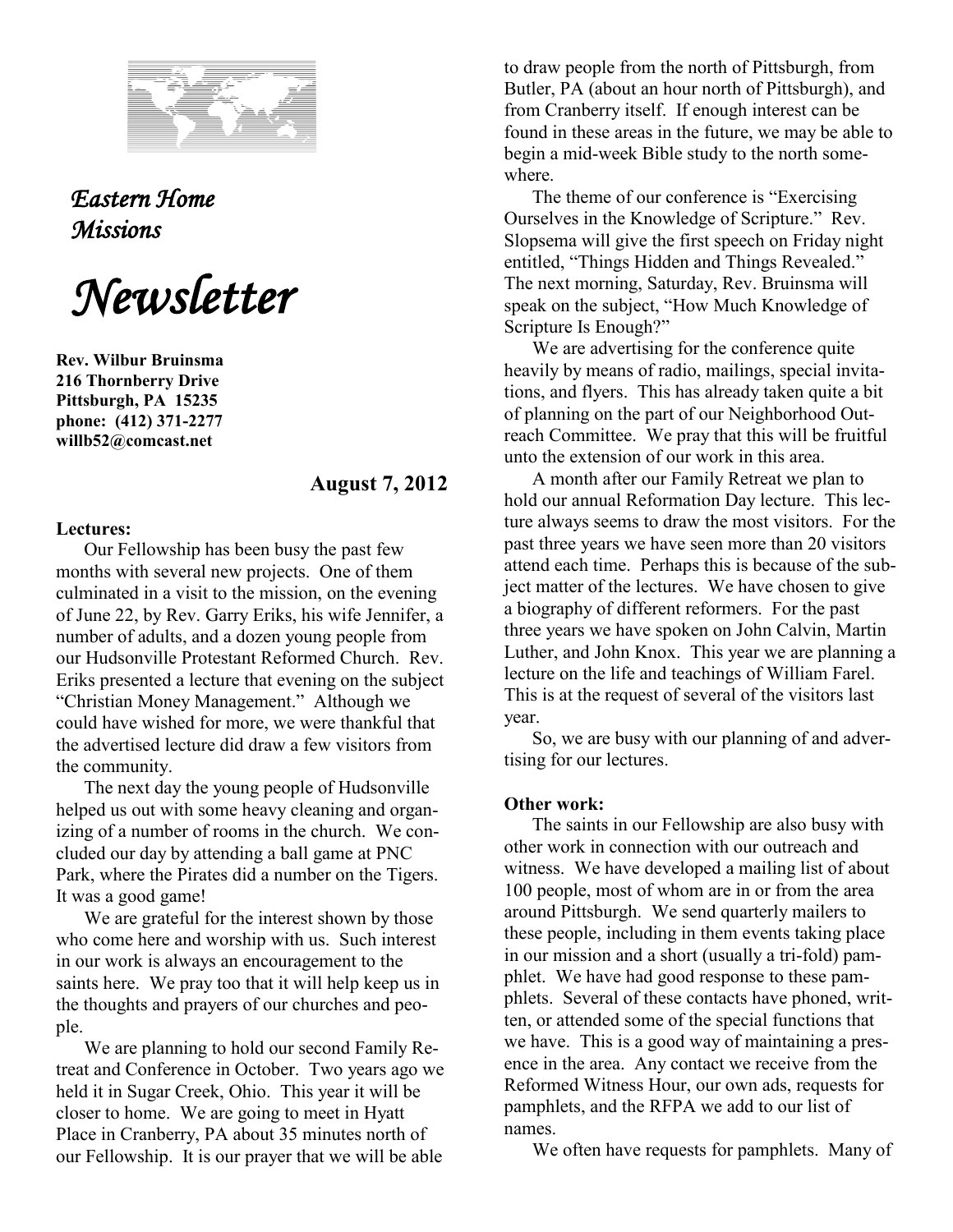

*Eastern Home Missions* 

*Newsletter*

**Rev. Wilbur Bruinsma 216 Thornberry Drive Pittsburgh, PA 15235 phone: (412) 371-2277 willb52@comcast.net**

## **August 7, 2012**

## **Lectures:**

Our Fellowship has been busy the past few months with several new projects. One of them culminated in a visit to the mission, on the evening of June 22, by Rev. Garry Eriks, his wife Jennifer, a number of adults, and a dozen young people from our Hudsonville Protestant Reformed Church. Rev. Eriks presented a lecture that evening on the subject "Christian Money Management." Although we could have wished for more, we were thankful that the advertised lecture did draw a few visitors from the community.

The next day the young people of Hudsonville helped us out with some heavy cleaning and organizing of a number of rooms in the church. We concluded our day by attending a ball game at PNC Park, where the Pirates did a number on the Tigers. It was a good game!

We are grateful for the interest shown by those who come here and worship with us. Such interest in our work is always an encouragement to the saints here. We pray too that it will help keep us in the thoughts and prayers of our churches and people.

We are planning to hold our second Family Retreat and Conference in October. Two years ago we held it in Sugar Creek, Ohio. This year it will be closer to home. We are going to meet in Hyatt Place in Cranberry, PA about 35 minutes north of our Fellowship. It is our prayer that we will be able

to draw people from the north of Pittsburgh, from Butler, PA (about an hour north of Pittsburgh), and from Cranberry itself. If enough interest can be found in these areas in the future, we may be able to begin a mid-week Bible study to the north somewhere.

The theme of our conference is "Exercising Ourselves in the Knowledge of Scripture." Rev. Slopsema will give the first speech on Friday night entitled, "Things Hidden and Things Revealed." The next morning, Saturday, Rev. Bruinsma will speak on the subject, "How Much Knowledge of Scripture Is Enough?"

We are advertising for the conference quite heavily by means of radio, mailings, special invitations, and flyers. This has already taken quite a bit of planning on the part of our Neighborhood Outreach Committee. We pray that this will be fruitful unto the extension of our work in this area.

A month after our Family Retreat we plan to hold our annual Reformation Day lecture. This lecture always seems to draw the most visitors. For the past three years we have seen more than 20 visitors attend each time. Perhaps this is because of the subject matter of the lectures. We have chosen to give a biography of different reformers. For the past three years we have spoken on John Calvin, Martin Luther, and John Knox. This year we are planning a lecture on the life and teachings of William Farel. This is at the request of several of the visitors last year.

So, we are busy with our planning of and advertising for our lectures.

## **Other work:**

The saints in our Fellowship are also busy with other work in connection with our outreach and witness. We have developed a mailing list of about 100 people, most of whom are in or from the area around Pittsburgh. We send quarterly mailers to these people, including in them events taking place in our mission and a short (usually a tri-fold) pamphlet. We have had good response to these pamphlets. Several of these contacts have phoned, written, or attended some of the special functions that we have. This is a good way of maintaining a presence in the area. Any contact we receive from the Reformed Witness Hour, our own ads, requests for pamphlets, and the RFPA we add to our list of names.

We often have requests for pamphlets. Many of